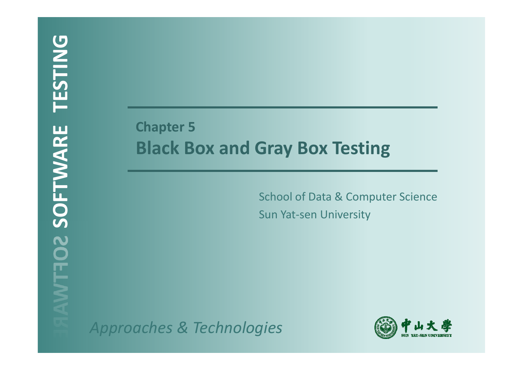# **Chapter 5 Black Box and Gray Box Testing**

School of Data & Computer Science Sun Yat-sen University

*Approaches & Technologies*

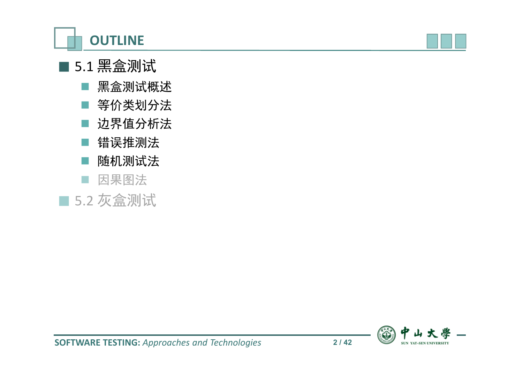



## ■ 5.1 黑盒测试

- 黑盒测试概述
- 等价类划分法
- 边界值分析法
- 错误推测法
- 随机测试法
- 因果图法
- 5.2 灰盒测试

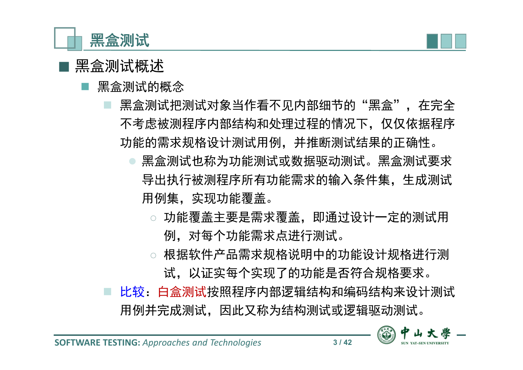



### ■ 黑盒测试概述

- 黑盒测试的概念
	- 黑盒测试把测试对象当作看不见内部细节的"黑盒",在完全 不考虑被测程序内部结构和处理过程的情况下,仅仅依据程序 功能的需求规格设计测试用例,并推断测试结果的正确性。
		- 黑盒测试也称为功能测试或数据驱动测试。黑盒测试要求 导出执行被测程序所有功能需求的输入条件集,生成测试 用例集,实现功能覆盖。
			- ◌ 功能覆盖主要是需求覆盖,即通过设计一定的测试用 例,对每个功能需求点进行测试。
			- ◌ 根据软件产品需求规格说明中的功能设计规格进行测 试,以证实每个实现了的功能是否符合规格要求。
	- 比较:白盒测试按照程序内部逻辑结构和编码结构来设计测试 用例并完成测试,因此又称为结构测试或逻辑驱动测试。

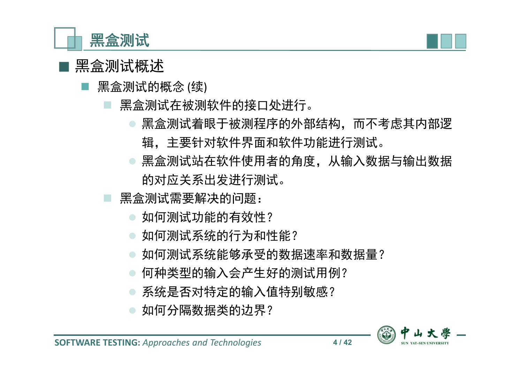



- 黑盒测试的概念 (续)
	- 黑盒测试在被测软件的接口处进行。
		- 黑盒测试着眼于被测程序的外部结构,而不考虑其内部逻 辑,主要针对软件界面和软件功能进行测试。
		- 黑盒测试站在软件使用者的角度,从输入数据与输出数据 的对应关系出发进行测试。
	- 黑盒测试需要解决的问题:
		- 如何测试功能的有效性?
		- 如何测试系统的行为和性能?
		- 如何测试系统能够承受的数据速率和数据量?
		- 何种类型的输入会产生好的测试用例?
		- ◎ 系统是否对特定的输入值特别敏感?
		- 如何分隔数据类的边界?

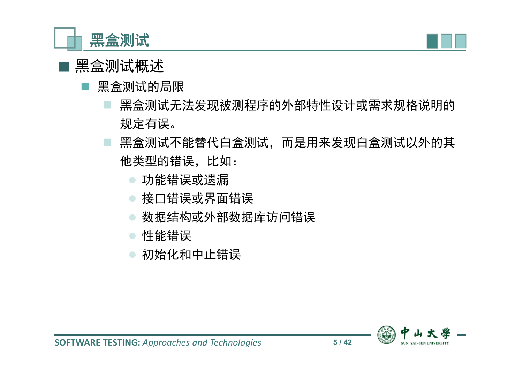



#### 黑盒测试的局限

- 黑盒测试无法发现被测程序的外部特性设计或需求规格说明的 规定有误。
- 黑盒测试不能替代白盒测试,而是用来发现白盒测试以外的其 他类型的错误,比如:
	- 功能错误或遗漏
	- 接口错误或界面错误
	- 数据结构或外部数据库访问错误
	- 性能错误
	- 初始化和中止错误

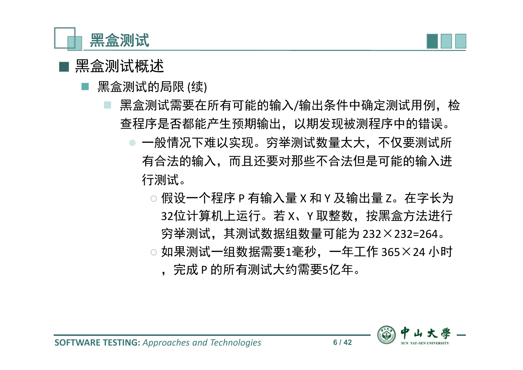



#### ■ 黑盒测试概述

- 黑盒测试的局限 (续)
	- 黑盒测试需要在所有可能的输入/输出条件中确定测试用例, 检 查程序是否都能产生预期输出,以期发现被测程序中的错误。
		- 一般情况下难以实现。穷举测试数量太大,不仅要测试所 有合法的输入,而且还要对那些不合法但是可能的输入进 行测试。
			- ◌ 假设一个程序 P 有输入量 X 和 Y 及输出量 Z。在字长为 32位计算机上运行。若 X、Y 取整数, 按黑盒方法进行 穷举测试,其测试数据组数量可能为 232×232=264。 ◌ 如果测试一组数据需要1毫秒,一年工作 365×24 小时
				- ,完成 P 的所有测试大约需要5亿年。

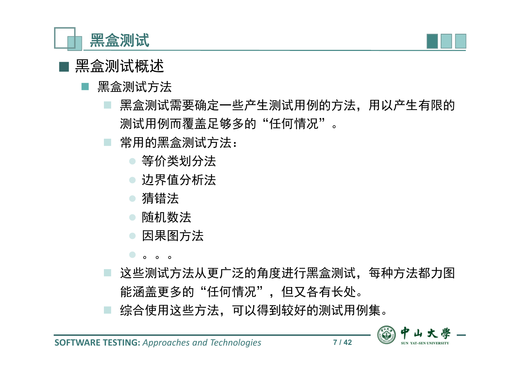



#### 黑盒测试方法

- 黑盒测试需要确定一些产生测试用例的方法,用以产生有限的 测试用例而覆盖足够多的"任何情况"。
- 常用的黑盒测试方法:
	- 等价类划分法
	- 边界值分析法
	- 猜错法
	- 随机数法
	- 因果图方法
	- $\circ$   $\circ$   $\circ$
- 这些测试方法从更广泛的角度进行黑盒测试,每种方法都力图 能涵盖更多的"任何情况",但又各有长处。 综合使用这些方法,可以得到较好的测试用例集。

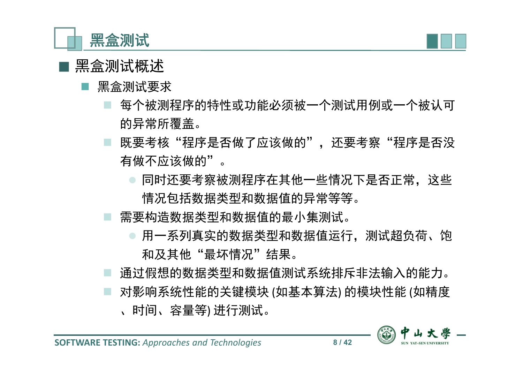



### ■ 黑盒测试概述

- 黑盒测试要求
	- 每个被测程序的特性或功能必须被一个测试用例或一个被认可 的异常所覆盖。
	- 既要考核"程序是否做了应该做的",还要考察"程序是否没 有做不应该做的"。
		- 同时还要考察被测程序在其他一些情况下是否正常,这些 情况包括数据类型和数据值的异常等等。
	- 需要构造数据类型和数据值的最小集测试。
		- 用一系列真实的数据类型和数据值运行,测试超负荷、饱 和及其他"最坏情况"结果。
	- 通过假想的数据类型和数据值测试系统排斥非法输入的能力。
	- 对影响系统性能的关键模块 (如基本算法) 的模块性能 (如精度 、时间、容量等) 进行测试。

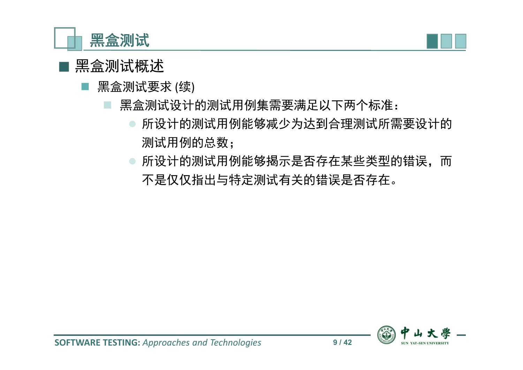



- 黑盒测试要求 (续)
	- 黑盒测试设计的测试用例集需要满足以下两个标准:
		- 所设计的测试用例能够减少为达到合理测试所需要设计的 测试用例的总数;
		- 所设计的测试用例能够揭示是否存在某些类型的错误,而 不是仅仅指出与特定测试有关的错误是否存在。

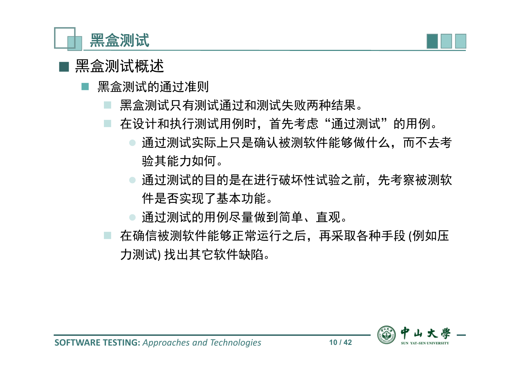



- 黑盒测试的通过准则
	- 黑盒测试只有测试通过和测试失败两种结果。
	- 在设计和执行测试用例时,首先考虑"通过测试"的用例。
		- 通过测试实际上只是确认被测软件能够做什么,而不去考 验其能力如何。
		- 通过测试的目的是在进行破坏性试验之前,先考察被测软 件是否实现了基本功能。
		- 通过测试的用例尽量做到简单、直观。
	- 在确信被测软件能够正常运行之后,再采取各种手段 (例如压 力测试) 找出其它软件缺陷。

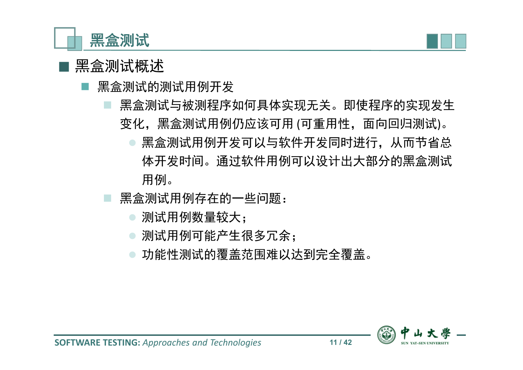



- 黑盒测试的测试用例开发
	- 黑盒测试与被测程序如何具体实现无关。即使程序的实现发生 变化,黑盒测试用例仍应该可用 (可重用性,面向回归测试)。
		- 黑盒测试用例开发可以与软件开发同时进行,从而节省总 体开发时间。通过软件用例可以设计出大部分的黑盒测试 用例。
	- 黑盒测试用例存在的一些问题:
		- 测试用例数量较大;
		- 测试用例可能产生很多冗余;
		- 功能性测试的覆盖范围难以达到完全覆盖。

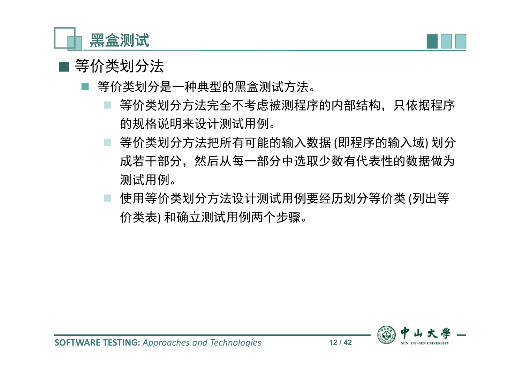

- 等价类划分是一种典型的黑盒测试方法。
	- 等价类划分方法完全不考虑被测程序的内部结构,只依据程序 的规格说明来设计测试用例。
	- 等价类划分方法把所有可能的输入数据 (即程序的输入域) 划分 成若干部分,然后从每一部分中选取少数有代表性的数据做为 测试用例。
	- 使用等价类划分方法设计测试用例要经历划分等价类 (列出等 价类表) 和确立测试用例两个步骤。

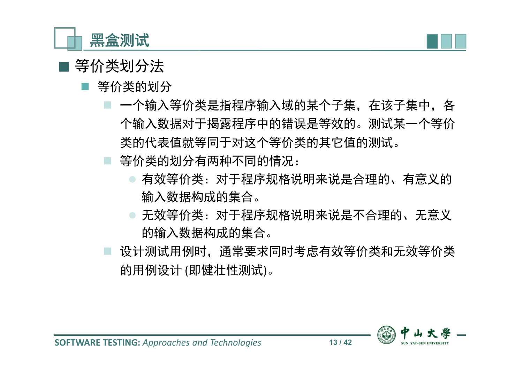



- 等价类的划分
	- 一个输入等价类是指程序输入域的某个子集,在该子集中,各 个输入数据对于揭露程序中的错误是等效的。测试某一个等价 类的代表值就等同于对这个等价类的其它值的测试。
	- 等价类的划分有两种不同的情况:
		- 有效等价类:对于程序规格说明来说是合理的、有意义的 输入数据构成的集合。
		- 无效等价类:对于程序规格说明来说是不合理的、无意义 的输入数据构成的集合。
	- 设计测试用例时,通常要求同时考虑有效等价类和无效等价类 的用例设计 (即健壮性测试)。

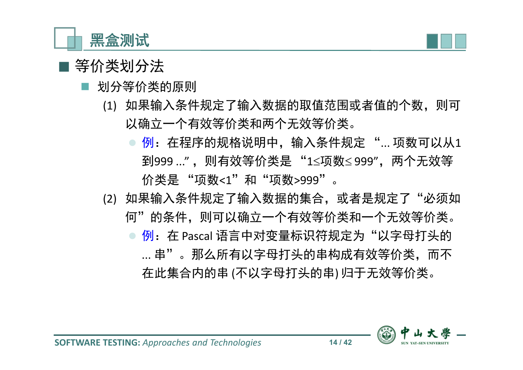



- 划分等价类的原则
	- (1) 如果输入条件规定了输入数据的取值范围或者值的个数,则可 以确立一个有效等价类和两个无效等价类。
		- 例:在程序的规格说明中,输入条件规定 "... 项数可以从1 到999 ...", 则有效等价类是 "1≤项数≤999", 两个无效等 价类是 "项数<1"和"项数>999"。
	- (2) 如果输入条件规定了输入数据的集合,或者是规定了"必须如 何"的条件,则可以确立一个有效等价类和一个无效等价类。
		- ◎ 例: 在 Pascal 语言中对变量标识符规定为"以字母打头的 ... 串"。那么所有以字母打头的串构成有效等价类,而不 在此集合内的串 (不以字母打头的串) 归于无效等价类。

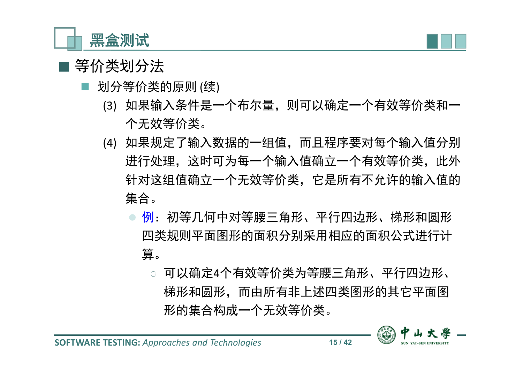



- 划分等价类的原则 (续)
	- (3) 如果输入条件是一个布尔量,则可以确定一个有效等价类和一 个无效等价类。
	- (4) 如果规定了输入数据的一组值,而且程序要对每个输入值分别 进行处理,这时可为每一个输入值确立一个有效等价类,此外 针对这组值确立一个无效等价类,它是所有不允许的输入值的 集合。
		- 例:初等几何中对等腰三角形、平行四边形、梯形和圆形 四类规则平面图形的面积分别采用相应的面积公式进行计 算。
			- ◌ 可以确定4个有效等价类为等腰三角形、平行四边形、 梯形和圆形,而由所有非上述四类图形的其它平面图 形的集合构成一个无效等价类。

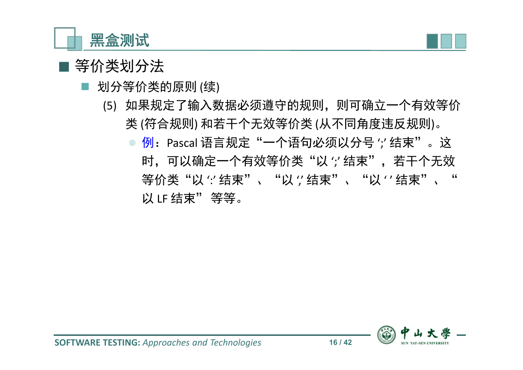



- 划分等价类的原则 (续)
	- (5) 如果规定了输入数据必须遵守的规则,则可确立一个有效等价 类 (符合规则) 和若干个无效等价类 (从不同角度违反规则)。
		- 例: Pascal 语言规定"一个语句必须以分号 ';' 结束"。这 时,可以确定一个有效等价类"以?结束",若干个无效 等价类"以?结束"、"以?结束"、"以?结束"、" 以 LF 结束" 等等。

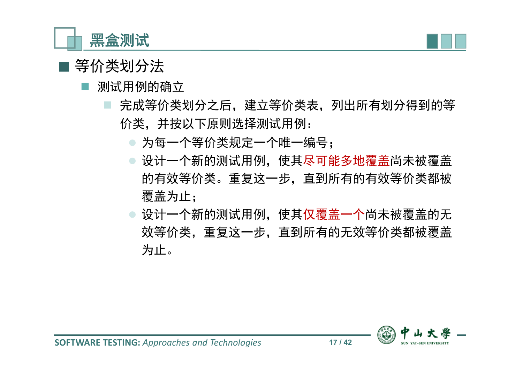



- 测试用例的确立
	- 完成等价类划分之后,建立等价类表,列出所有划分得到的等 价类,并按以下原则选择测试用例:
		- 为每一个等价类规定一个唯一编号;
		- 设计一个新的测试用例,使其尽可能多地覆盖尚未被覆盖 的有效等价类。重复这一步,直到所有的有效等价类都被 覆盖为止;
		- 设计一个新的测试用例,使其仅覆盖一个尚未被覆盖的无 效等价类,重复这一步,直到所有的无效等价类都被覆盖 为止。

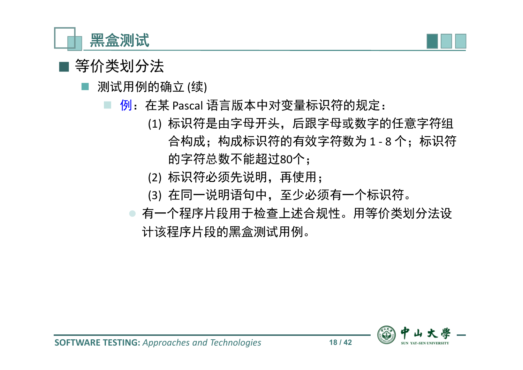



- 测试用例的确立 (续)
	- 例: 在某 Pascal 语言版本中对变量标识符的规定:
		- (1) 标识符是由字母开头,后跟字母或数字的任意字符组 合构成;构成标识符的有效字符数为 1 - 8 个;标识符 的字符总数不能超过80个;
		- (2) 标识符必须先说明,再使用;
		- (3) 在同一说明语句中,至少必须有一个标识符。
		- 有一个程序片段用于检查上述合规性。用等价类划分法设 计该程序片段的黑盒测试用例。

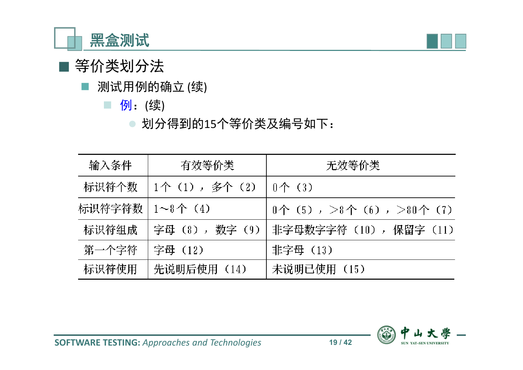



- 测试用例的确立 (续)
	- 例:(续)
		- 划分得到的15个等价类及编号如下:

| 输入条件   | 有效等价类            | 无效等价类                                                 |
|--------|------------------|-------------------------------------------------------|
| 标识符个数  | 1个(1),多个(2)      | - 0个(3)                                               |
| 标识符字符数 | $1 \sim 8$ 个 (4) | $0 \wedge (5)$ , $> 8 \wedge (6)$ , $> 80 \wedge (7)$ |
| 标识符组成  | 字母(8),数字(9)      | 非字母数字字符 (10), 保留字 (11)                                |
| 第一个字符  | 字母 (12)          | 非字母(13)                                               |
| 标识符使用  | 先说明后使用 (14)      | 未说明已使用 (15)                                           |

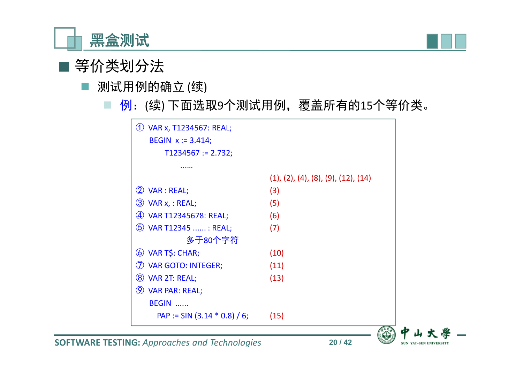



- 测试用例的确立 (续)
	- 例:(续) 下面选取9个测试用例,覆盖所有的15个等价类。





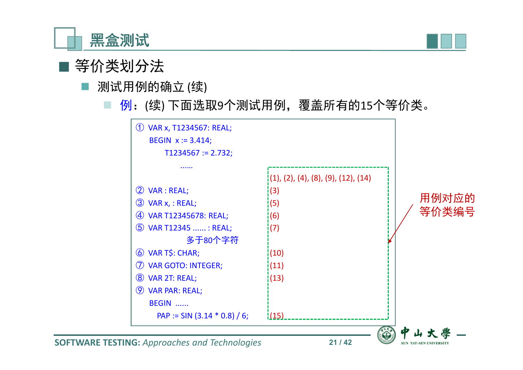



- 测试用例的确立 (续)
	- 例:(续) 下面选取9个测试用例,覆盖所有的15个等价类。

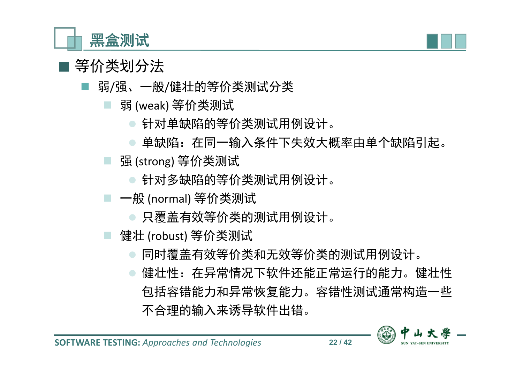



- 弱/强、一般/健壮的等价类测试分类
	- 弱 (weak) 等价类测试
		- 针对单缺陷的等价类测试用例设计。
		- 单缺陷:在同一输入条件下失效大概率由单个缺陷引起。
	- 强 (strong) 等价类测试
		- 针对多缺陷的等价类测试用例设计。
	- 一般 (normal) 等价类测试
		- 只覆盖有效等价类的测试用例设计。
	- 健壮 (robust) 等价类测试
		- 同时覆盖有效等价类和无效等价类的测试用例设计。
		- 健壮性:在异常情况下软件还能正常运行的能力。健壮性 包括容错能力和异常恢复能力。容错性测试通常构造一些 不合理的输入来诱导软件出错。

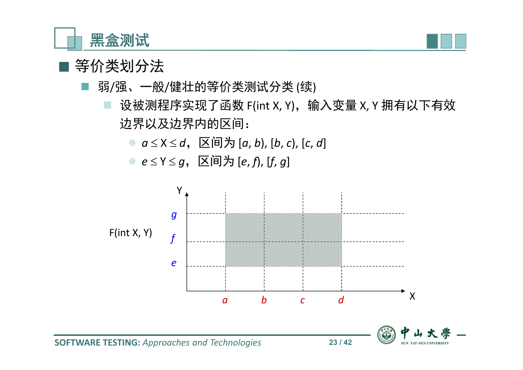

- 弱/强、一般/健壮的等价类测试分类 (续)
	- 设被测程序实现了函数 F(int X, Y), 输入变量 X, Y 拥有以下有效 边界以及边界内的区间:
		- $a \le X \le d$ ,  $\Xi$ 间为  $[a, b)$ ,  $[b, c)$ ,  $[c, d]$
		- $e \le Y \le g$ , 区间为 [*e*, *f*), [*f*, *g*]

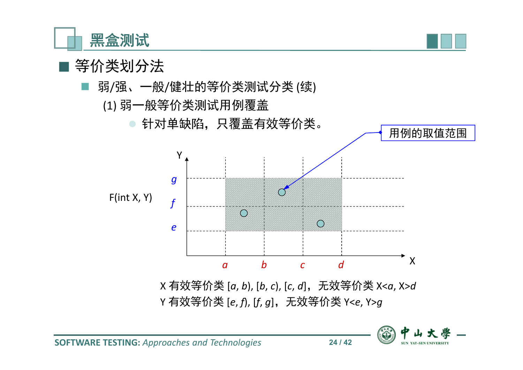

- 弱/强、一般/健壮的等价类测试分类 (续)
	- (1) 弱一般等价类测试用例覆盖





X 有效等价类 [*a*, *b*), [*b*, *c*), [*c*, *d*],无效等价类 X<*a*, X>*d* Y 有效等价类 [*e*, *f*), [*f*, *g*],无效等价类 Y<*e*, Y>*g*



用例的取值范围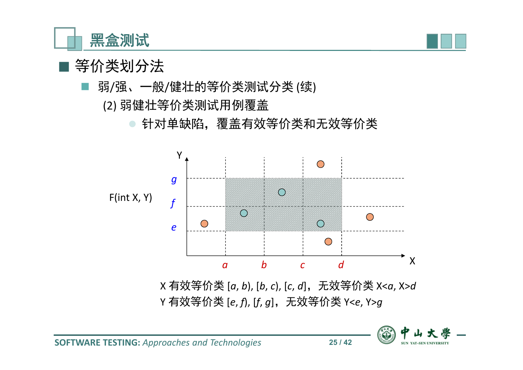

- 弱/强、一般/健壮的等价类测试分类 (续)
	- (2) 弱健壮等价类测试用例覆盖
		- 针对单缺陷,覆盖有效等价类和无效等价类



X 有效等价类 [*a*, *b*), [*b*, *c*), [*c*, *d*],无效等价类 X<*a*, X>*d* Y 有效等价类 [*e*, *f*), [*f*, *g*],无效等价类 Y<*e*, Y>*g*

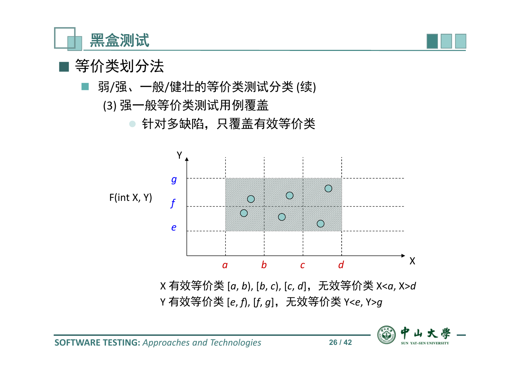

- 弱/强、一般/健壮的等价类测试分类 (续)
	- (3) 强一般等价类测试用例覆盖
		- 针对多缺陷,只覆盖有效等价类



X 有效等价类 [*a*, *b*), [*b*, *c*), [*c*, *d*],无效等价类 X<*a*, X>*d* Y 有效等价类 [*e*, *f*), [*f*, *g*],无效等价类 Y<*e*, Y>*g*

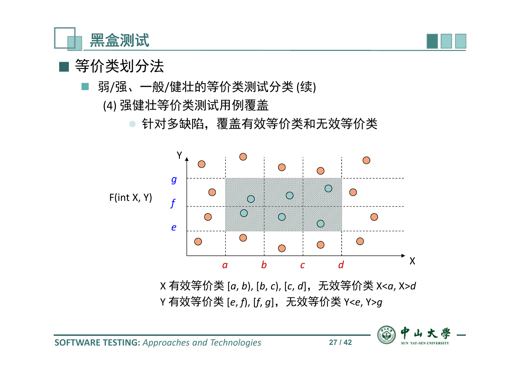

- 弱/强、一般/健壮的等价类测试分类 (续)
	- (4) 强健壮等价类测试用例覆盖
		- 针对多缺陷,覆盖有效等价类和无效等价类



X 有效等价类 [*a*, *b*), [*b*, *c*), [*c*, *d*],无效等价类 X<*a*, X>*d* Y 有效等价类 [*e*, *f*), [*f*, *g*],无效等价类 Y<*e*, Y>*g*

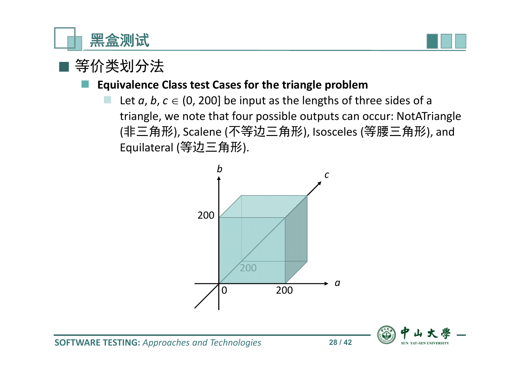



#### **Equivalence Class test Cases for the triangle problem**

Let  $a, b, c \in (0, 200]$  be input as the lengths of three sides of a triangle, we note that four possible outputs can occur: NotATriangle (非三角形), Scalene (不等边三角形), Isosceles (等腰三角形), and Equilateral (等边三角形).



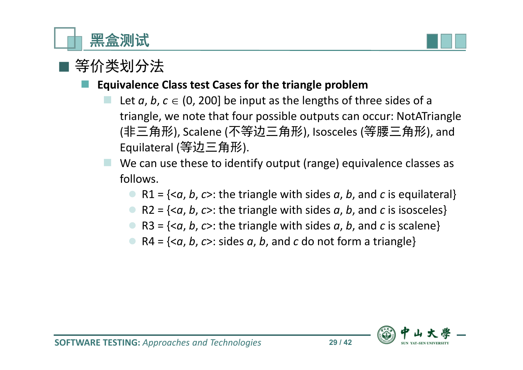



#### **Equivalence Class test Cases for the triangle problem**

- Let  $a, b, c \in (0, 200]$  be input as the lengths of three sides of a triangle, we note that four possible outputs can occur: NotATriangle (非三角形), Scalene (不等边三角形), Isosceles (等腰三角形), and Equilateral (等边三角形).
- We can use these to identify output (range) equivalence classes as follows.
	- R1 = {<*a*, *b*, *c*>: the triangle with sides *a*, *b*, and *c* is equilateral}
	- R2 = {<*a*, *b*, *c*>: the triangle with sides *a*, *b*, and *c* is isosceles}
	- R3 =  $\{<\alpha, b, c>:\text{the triangle with sides } a, b, \text{ and } c \text{ is scalene}\}\$
	- $\bullet$  R4 = { $\leq a, b, c$  >: sides *a*, *b*, and *c* do not form a triangle}

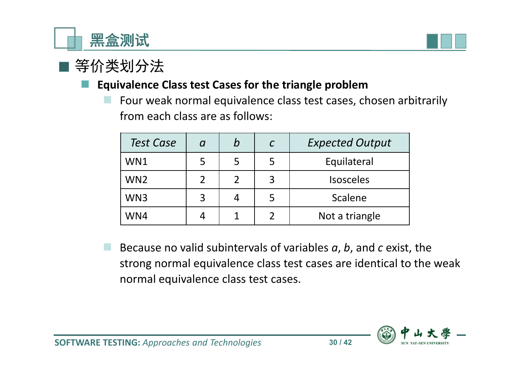



#### **Equivalence Class test Cases for the triangle problem**

 Four weak normal equivalence class test cases, chosen arbitrarily from each class are as follows:

| <b>Test Case</b> | a | b | <b>Expected Output</b> |
|------------------|---|---|------------------------|
| WN1              |   | 5 | Equilateral            |
| WN <sub>2</sub>  |   |   | <b>Isosceles</b>       |
| WN3              |   |   | Scalene                |
| WN4              |   |   | Not a triangle         |

 Because no valid subintervals of variables *a*, *b*, and *c* exist, the strong normal equivalence class test cases are identical to the weak normal equivalence class test cases.

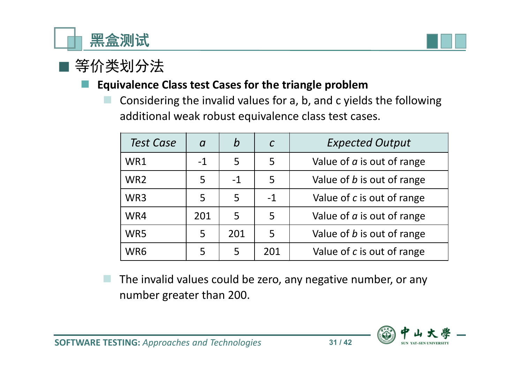



#### **Equivalence Class test Cases for the triangle problem**

 Considering the invalid values for a, b, and c yields the following additional weak robust equivalence class test cases.

| <b>Test Case</b> | $\boldsymbol{a}$ | b    | $\mathcal{C}$ | <b>Expected Output</b>            |
|------------------|------------------|------|---------------|-----------------------------------|
| WR1              | $-1$             | 5    | 5             | Value of $a$ is out of range      |
| WR <sub>2</sub>  | 5                | $-1$ | 5             | Value of <i>b</i> is out of range |
| WR3              | 5                | 5    | $-1$          | Value of c is out of range        |
| WR4              | 201              | 5    | 5             | Value of $a$ is out of range      |
| WR5              | 5                | 201  | 5             | Value of <i>b</i> is out of range |
| WR6              | 5                | 5    | 201           | Value of c is out of range        |

 The invalid values could be zero, any negative number, or any number greater than 200.

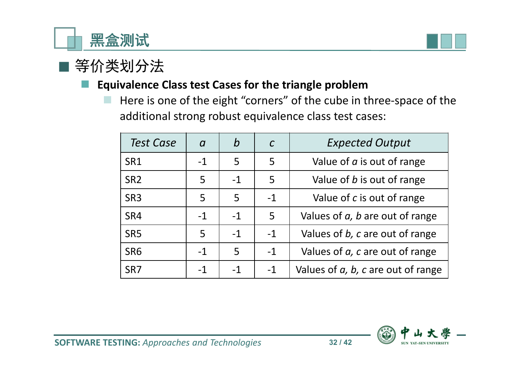



#### **Equivalence Class test Cases for the triangle problem**

 $\blacksquare$  Here is one of the eight "corners" of the cube in three-space of the additional strong robust equivalence class test cases:

| <b>Test Case</b> | $\boldsymbol{a}$ | b    | $\mathcal{C}$ | <b>Expected Output</b>                     |
|------------------|------------------|------|---------------|--------------------------------------------|
| SR1              | $-1$             | 5    | 5             | Value of $a$ is out of range               |
| SR <sub>2</sub>  | 5                | $-1$ | 5             | Value of <i>b</i> is out of range          |
| SR <sub>3</sub>  | 5                | 5    | $-1$          | Value of c is out of range                 |
| SR4              | $-1$             | $-1$ | 5             | Values of $a$ , $b$ are out of range       |
| SR <sub>5</sub>  | 5                | $-1$ | $-1$          | Values of b, c are out of range            |
| SR <sub>6</sub>  | $-1$             | 5    | $-1$          | Values of a, c are out of range            |
| SR <sub>7</sub>  | $-1$             | $-1$ | $-1$          | Values of $a$ , $b$ , $c$ are out of range |

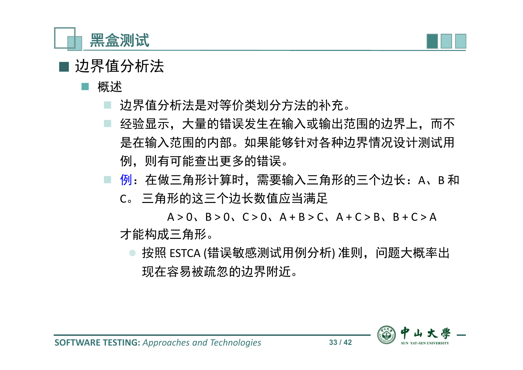



概述

- 边界值分析法是对等价类划分方法的补充。
- 经验显示,大量的错误发生在输入或输出范围的边界上,而不 是在输入范围的内部。如果能够针对各种边界情况设计测试用 例,则有可能查出更多的错误。
- □ 例: 在做三角形计算时, 需要输入三角形的三个边长: A、B 和 C。 三角形的这三个边长数值应当满足

 $A > 0$ ,  $B > 0$ ,  $C > 0$ ,  $A + B > C$ ,  $A + C > B$ ,  $B + C > A$ 才能构成三角形。

按照 ESTCA (错误敏感测试用例分析) 准则, 问题大概率出 现在容易被疏忽的边界附近。

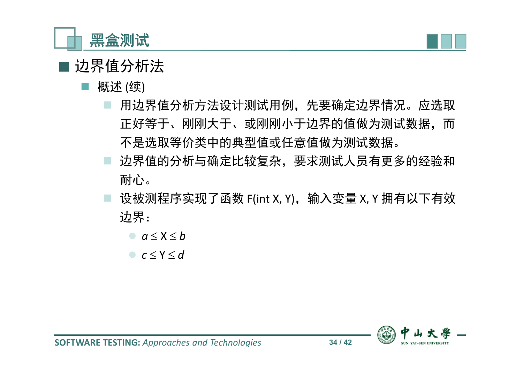



- 概述 (续)
	- 用边界值分析方法设计测试用例,先先要确定边界情况。应选取 正好等于、刚刚大于、或刚刚小于边界的值做为测试数据,而 不是选取等价类中的典型值或任意值做为测试数据。
	- 边界值的分析与确定比较复杂,要求测试人员有更多的经验和 耐心。
	- 设被测程序实现了函数 F(int X, Y), 输入变量 X, Y 拥有以下有效 边界:
		- $a < X < b$
		- $c \le Y \le d$

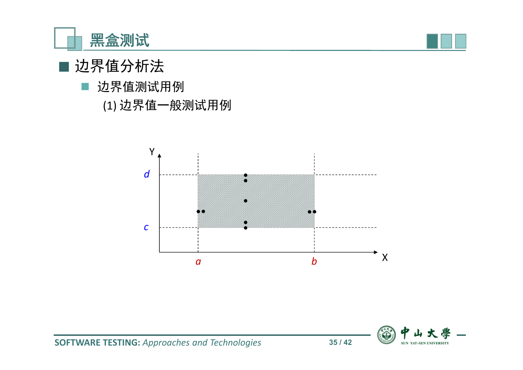



 边界值测试用例 (1) 边界值一般测试用例



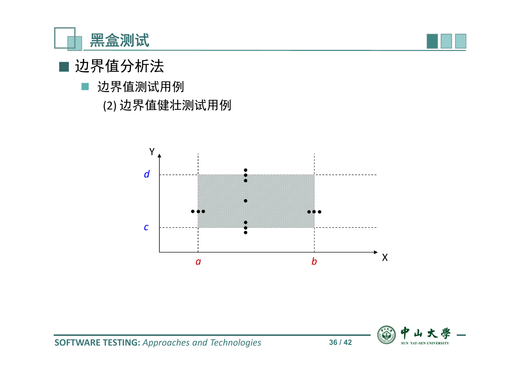



边界值测试用例

(2) 边界值健壮测试用例



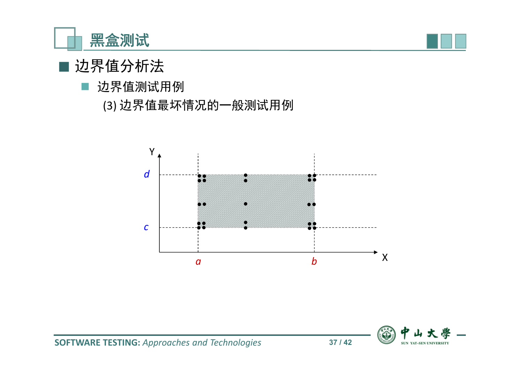



#### 边界值测试用例

(3) 边界值最坏情况的一般测试用例



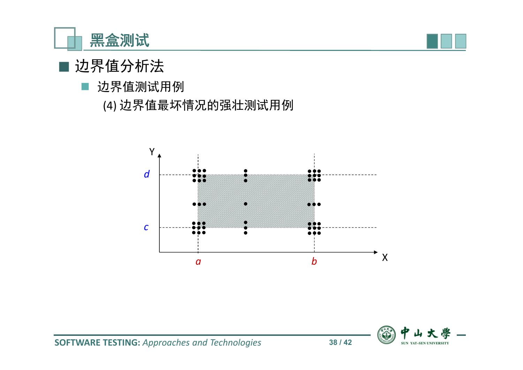



#### 边界值测试用例

(4) 边界值最坏情况的强壮测试用例



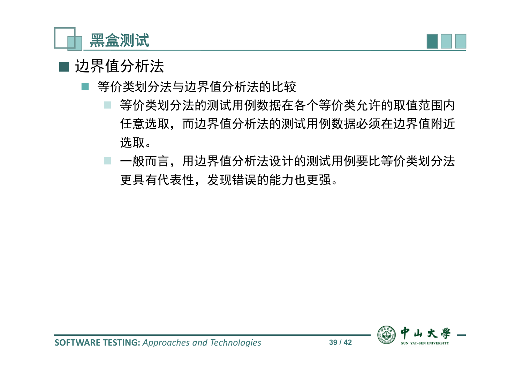



- 等价类划分法与边界值分析法的比较
	- 等价类划分法的测试用例数据在各个等价类允许的取值范围内 任意选取,而边界值分析法的测试用例数据必须在边界值附近 选取。
	- 一般而言,用边界值分析法设计的测试用例要比等价类划分法 更具有代表性,发现错误的能力也更强。

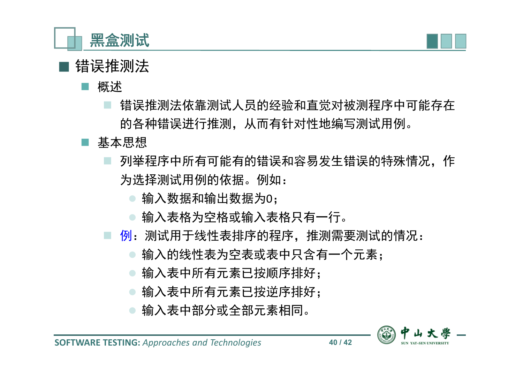



# ■ 错误推测法

概述

- 错误推测法依靠测试人员的经验和直觉对被测程序中可能存在 的各种错误进行推测,从而有针对性地编写测试用例。
- 基本思想
	- 列举程序中所有可能有的错误和容易发生错误的特殊情况,作 为选择测试用例的依据。例如:
		- 输入数据和输出数据为0;
		- 输入表格为空格或输入表格只有一行。
	- 例:测试用于线性表排序的程序,推测需要测试的情况:
		- 输入的线性表为空表或表中只含有一个元素;
		- 输入表中所有元素已按顺序排好;
		- 输入表中所有元素已按逆序排好;
		- 输入表中部分或全部元素相同。

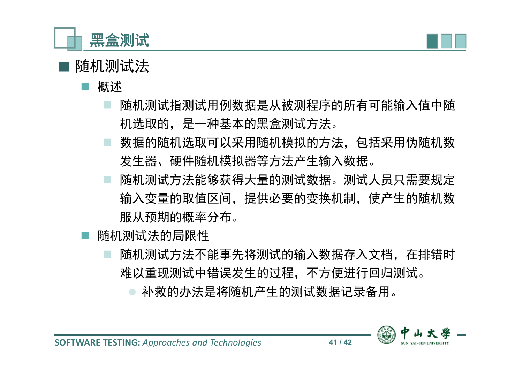



# ■ 随机测试法

概述

- 随机测试指测试用例数据是从被测程序的所有可能输入值中随 机选取的,是一种基本的黑盒测试方法。
- 数据的随机选取可以采用随机模拟的方法,包括采用伪随机数 发生器、硬件随机模拟器等方法产生输入数据。
- 随机测试方法能够获得大量的测试数据。测试人员只需要规定 输入变量的取值区间,提供必要的变换机制,使产生的随机数 服从预期的概率分布。
- 随机测试法的局限性
	- 随机测试方法不能事先将测试的输入数据存入文档,在排错时 难以重现测试中错误发生的过程,不方便进行回归测试。

补救的办法是将随机产生的测试数据记录备用。